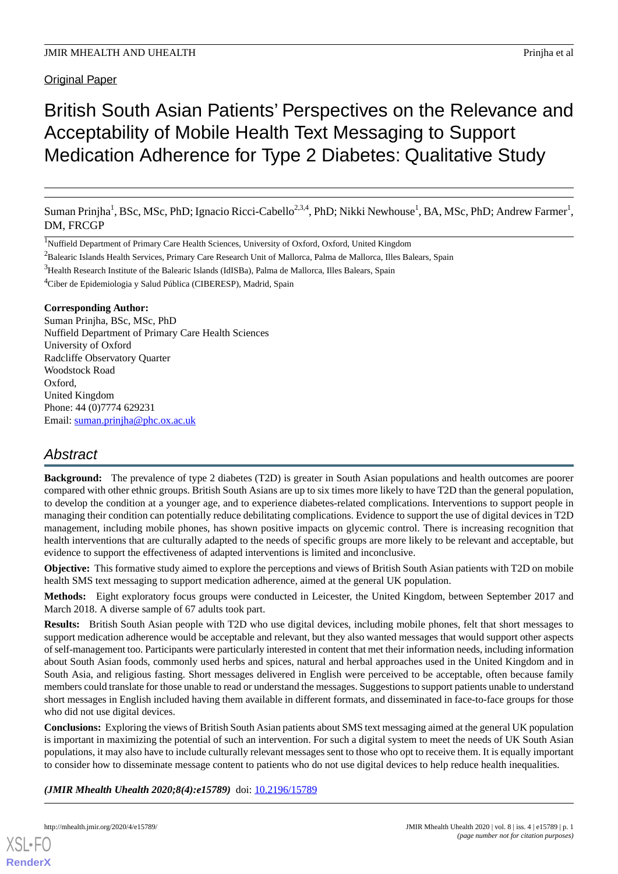## Original Paper

# British South Asian Patients' Perspectives on the Relevance and Acceptability of Mobile Health Text Messaging to Support Medication Adherence for Type 2 Diabetes: Qualitative Study

Suman Prinjha<sup>1</sup>, BSc, MSc, PhD; Ignacio Ricci-Cabello<sup>2,3,4</sup>, PhD; Nikki Newhouse<sup>1</sup>, BA, MSc, PhD; Andrew Farmer<sup>1</sup>, DM, FRCGP

<sup>3</sup>Health Research Institute of the Balearic Islands (IdISBa), Palma de Mallorca, Illes Balears, Spain

<sup>4</sup>Ciber de Epidemiologia y Salud Pública (CIBERESP), Madrid, Spain

## **Corresponding Author:**

Suman Prinjha, BSc, MSc, PhD Nuffield Department of Primary Care Health Sciences University of Oxford Radcliffe Observatory Quarter Woodstock Road Oxford, United Kingdom Phone: 44 (0)7774 629231 Email: [suman.prinjha@phc.ox.ac.uk](mailto:suman.prinjha@phc.ox.ac.uk)

## *Abstract*

**Background:** The prevalence of type 2 diabetes (T2D) is greater in South Asian populations and health outcomes are poorer compared with other ethnic groups. British South Asians are up to six times more likely to have T2D than the general population, to develop the condition at a younger age, and to experience diabetes-related complications. Interventions to support people in managing their condition can potentially reduce debilitating complications. Evidence to support the use of digital devices in T2D management, including mobile phones, has shown positive impacts on glycemic control. There is increasing recognition that health interventions that are culturally adapted to the needs of specific groups are more likely to be relevant and acceptable, but evidence to support the effectiveness of adapted interventions is limited and inconclusive.

**Objective:** This formative study aimed to explore the perceptions and views of British South Asian patients with T2D on mobile health SMS text messaging to support medication adherence, aimed at the general UK population.

**Methods:** Eight exploratory focus groups were conducted in Leicester, the United Kingdom, between September 2017 and March 2018. A diverse sample of 67 adults took part.

**Results:** British South Asian people with T2D who use digital devices, including mobile phones, felt that short messages to support medication adherence would be acceptable and relevant, but they also wanted messages that would support other aspects of self-management too. Participants were particularly interested in content that met their information needs, including information about South Asian foods, commonly used herbs and spices, natural and herbal approaches used in the United Kingdom and in South Asia, and religious fasting. Short messages delivered in English were perceived to be acceptable, often because family members could translate for those unable to read or understand the messages. Suggestions to support patients unable to understand short messages in English included having them available in different formats, and disseminated in face-to-face groups for those who did not use digital devices.

**Conclusions:** Exploring the views of British South Asian patients about SMS text messaging aimed at the general UK population is important in maximizing the potential of such an intervention. For such a digital system to meet the needs of UK South Asian populations, it may also have to include culturally relevant messages sent to those who opt to receive them. It is equally important to consider how to disseminate message content to patients who do not use digital devices to help reduce health inequalities.

*(JMIR Mhealth Uhealth 2020;8(4):e15789)* doi: [10.2196/15789](http://dx.doi.org/10.2196/15789)

<sup>&</sup>lt;sup>1</sup>Nuffield Department of Primary Care Health Sciences, University of Oxford, Oxford, United Kingdom

<sup>&</sup>lt;sup>2</sup>Balearic Islands Health Services, Primary Care Research Unit of Mallorca, Palma de Mallorca, Illes Balears, Spain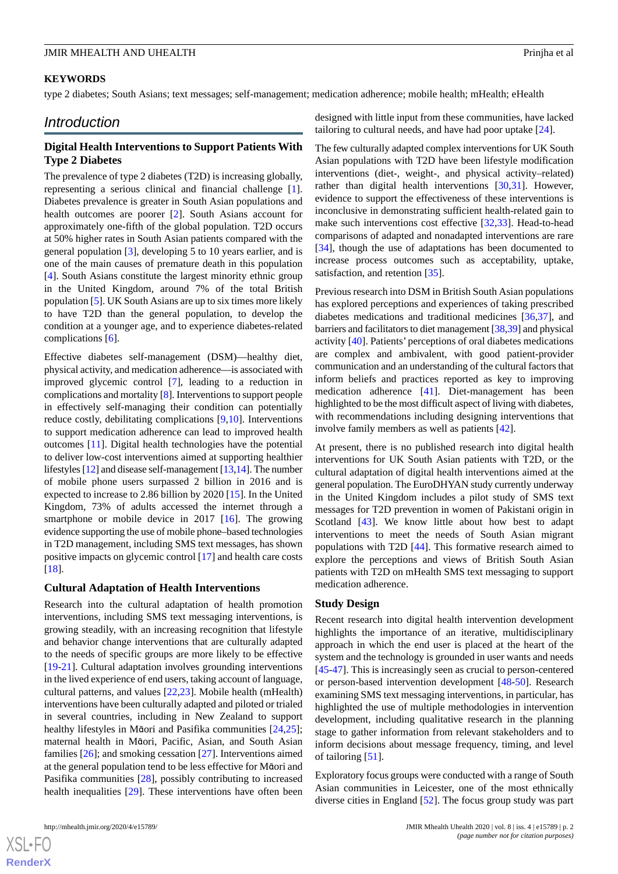#### **KEYWORDS**

type 2 diabetes; South Asians; text messages; self-management; medication adherence; mobile health; mHealth; eHealth

## *Introduction*

## **Digital Health Interventions to Support Patients With Type 2 Diabetes**

The prevalence of type 2 diabetes (T2D) is increasing globally, representing a serious clinical and financial challenge [[1\]](#page-10-0). Diabetes prevalence is greater in South Asian populations and health outcomes are poorer [\[2](#page-10-1)]. South Asians account for approximately one-fifth of the global population. T2D occurs at 50% higher rates in South Asian patients compared with the general population [\[3](#page-10-2)], developing 5 to 10 years earlier, and is one of the main causes of premature death in this population [[4\]](#page-10-3). South Asians constitute the largest minority ethnic group in the United Kingdom, around 7% of the total British population [\[5\]](#page-10-4). UK South Asians are up to six times more likely to have T2D than the general population, to develop the condition at a younger age, and to experience diabetes-related complications [\[6\]](#page-10-5).

Effective diabetes self-management (DSM)—healthy diet, physical activity, and medication adherence—is associated with improved glycemic control [[7\]](#page-10-6), leading to a reduction in complications and mortality [[8](#page-10-7)]. Interventions to support people in effectively self-managing their condition can potentially reduce costly, debilitating complications [\[9,](#page-10-8)[10](#page-10-9)]. Interventions to support medication adherence can lead to improved health outcomes [[11\]](#page-10-10). Digital health technologies have the potential to deliver low-cost interventions aimed at supporting healthier lifestyles [\[12](#page-10-11)] and disease self-management [\[13](#page-10-12)[,14](#page-10-13)]. The number of mobile phone users surpassed 2 billion in 2016 and is expected to increase to 2.86 billion by 2020 [\[15](#page-10-14)]. In the United Kingdom, 73% of adults accessed the internet through a smartphone or mobile device in 2017 [[16\]](#page-10-15). The growing evidence supporting the use of mobile phone–based technologies in T2D management, including SMS text messages, has shown positive impacts on glycemic control [\[17](#page-10-16)] and health care costs [[18\]](#page-10-17).

#### **Cultural Adaptation of Health Interventions**

Research into the cultural adaptation of health promotion interventions, including SMS text messaging interventions, is growing steadily, with an increasing recognition that lifestyle and behavior change interventions that are culturally adapted to the needs of specific groups are more likely to be effective [[19](#page-10-18)[-21](#page-11-0)]. Cultural adaptation involves grounding interventions in the lived experience of end users, taking account of language, cultural patterns, and values [[22](#page-11-1)[,23](#page-11-2)]. Mobile health (mHealth) interventions have been culturally adapted and piloted or trialed in several countries, including in New Zealand to support healthy lifestyles in Māori and Pasifika communities [\[24](#page-11-3),[25\]](#page-11-4); maternal health in Māori, Pacific, Asian, and South Asian families [\[26](#page-11-5)]; and smoking cessation [\[27](#page-11-6)]. Interventions aimed at the general population tend to be less effective for Māori and Pasifika communities [[28\]](#page-11-7), possibly contributing to increased health inequalities [[29\]](#page-11-8). These interventions have often been

 $XS$  • FC **[RenderX](http://www.renderx.com/)** designed with little input from these communities, have lacked tailoring to cultural needs, and have had poor uptake [\[24](#page-11-3)].

The few culturally adapted complex interventions for UK South Asian populations with T2D have been lifestyle modification interventions (diet-, weight-, and physical activity–related) rather than digital health interventions [\[30](#page-11-9),[31\]](#page-11-10). However, evidence to support the effectiveness of these interventions is inconclusive in demonstrating sufficient health-related gain to make such interventions cost effective [[32,](#page-11-11)[33](#page-11-12)]. Head-to-head comparisons of adapted and nonadapted interventions are rare [[34\]](#page-11-13), though the use of adaptations has been documented to increase process outcomes such as acceptability, uptake, satisfaction, and retention [\[35](#page-11-14)].

Previous research into DSM in British South Asian populations has explored perceptions and experiences of taking prescribed diabetes medications and traditional medicines [[36,](#page-11-15)[37](#page-11-16)], and barriers and facilitators to diet management [[38](#page-11-17)[,39\]](#page-11-18) and physical activity [[40\]](#page-11-19). Patients' perceptions of oral diabetes medications are complex and ambivalent, with good patient-provider communication and an understanding of the cultural factors that inform beliefs and practices reported as key to improving medication adherence [\[41](#page-12-0)]. Diet-management has been highlighted to be the most difficult aspect of living with diabetes, with recommendations including designing interventions that involve family members as well as patients [\[42](#page-12-1)].

At present, there is no published research into digital health interventions for UK South Asian patients with T2D, or the cultural adaptation of digital health interventions aimed at the general population. The EuroDHYAN study currently underway in the United Kingdom includes a pilot study of SMS text messages for T2D prevention in women of Pakistani origin in Scotland [\[43](#page-12-2)]. We know little about how best to adapt interventions to meet the needs of South Asian migrant populations with T2D [\[44](#page-12-3)]. This formative research aimed to explore the perceptions and views of British South Asian patients with T2D on mHealth SMS text messaging to support medication adherence.

#### **Study Design**

Recent research into digital health intervention development highlights the importance of an iterative, multidisciplinary approach in which the end user is placed at the heart of the system and the technology is grounded in user wants and needs [[45](#page-12-4)[-47](#page-12-5)]. This is increasingly seen as crucial to person-centered or person-based intervention development [\[48](#page-12-6)[-50](#page-12-7)]. Research examining SMS text messaging interventions, in particular, has highlighted the use of multiple methodologies in intervention development, including qualitative research in the planning stage to gather information from relevant stakeholders and to inform decisions about message frequency, timing, and level of tailoring [\[51](#page-12-8)].

Exploratory focus groups were conducted with a range of South Asian communities in Leicester, one of the most ethnically diverse cities in England [\[52](#page-12-9)]. The focus group study was part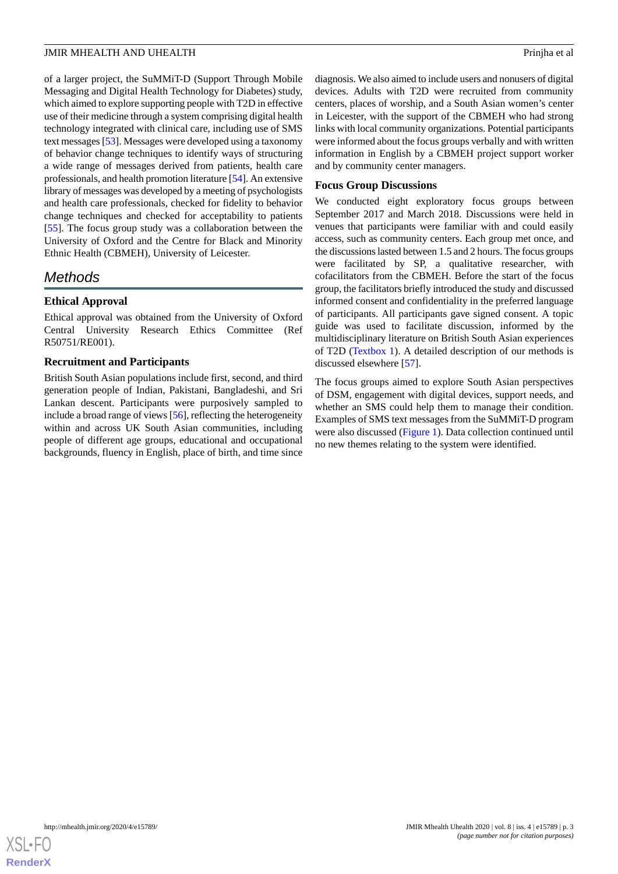of a larger project, the SuMMiT-D (Support Through Mobile Messaging and Digital Health Technology for Diabetes) study, which aimed to explore supporting people with T2D in effective use of their medicine through a system comprising digital health technology integrated with clinical care, including use of SMS text messages [[53](#page-12-10)]. Messages were developed using a taxonomy of behavior change techniques to identify ways of structuring a wide range of messages derived from patients, health care professionals, and health promotion literature [[54\]](#page-12-11). An extensive library of messages was developed by a meeting of psychologists and health care professionals, checked for fidelity to behavior change techniques and checked for acceptability to patients [[55\]](#page-12-12). The focus group study was a collaboration between the University of Oxford and the Centre for Black and Minority Ethnic Health (CBMEH), University of Leicester.

## *Methods*

## **Ethical Approval**

Ethical approval was obtained from the University of Oxford Central University Research Ethics Committee (Ref R50751/RE001).

## **Recruitment and Participants**

British South Asian populations include first, second, and third generation people of Indian, Pakistani, Bangladeshi, and Sri Lankan descent. Participants were purposively sampled to include a broad range of views [\[56](#page-12-13)], reflecting the heterogeneity within and across UK South Asian communities, including people of different age groups, educational and occupational backgrounds, fluency in English, place of birth, and time since

diagnosis. We also aimed to include users and nonusers of digital devices. Adults with T2D were recruited from community centers, places of worship, and a South Asian women's center in Leicester, with the support of the CBMEH who had strong links with local community organizations. Potential participants were informed about the focus groups verbally and with written information in English by a CBMEH project support worker and by community center managers.

### **Focus Group Discussions**

We conducted eight exploratory focus groups between September 2017 and March 2018. Discussions were held in venues that participants were familiar with and could easily access, such as community centers. Each group met once, and the discussions lasted between 1.5 and 2 hours. The focus groups were facilitated by SP, a qualitative researcher, with cofacilitators from the CBMEH. Before the start of the focus group, the facilitators briefly introduced the study and discussed informed consent and confidentiality in the preferred language of participants. All participants gave signed consent. A topic guide was used to facilitate discussion, informed by the multidisciplinary literature on British South Asian experiences of T2D ([Textbox 1](#page-3-0)). A detailed description of our methods is discussed elsewhere [\[57](#page-12-14)].

The focus groups aimed to explore South Asian perspectives of DSM, engagement with digital devices, support needs, and whether an SMS could help them to manage their condition. Examples of SMS text messages from the SuMMiT-D program were also discussed ([Figure 1](#page-4-0)). Data collection continued until no new themes relating to the system were identified.

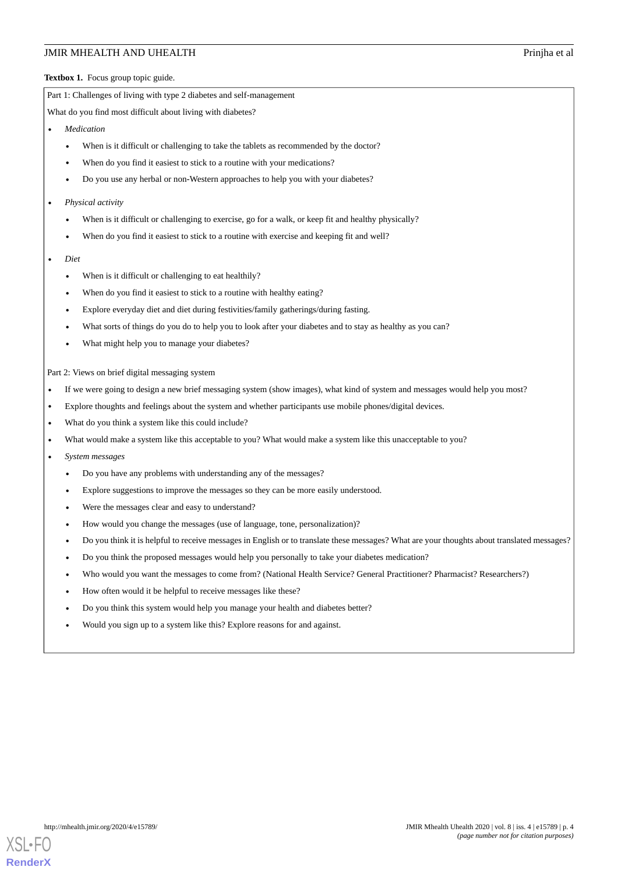#### JMIR MHEALTH AND UHEALTH **AND** SUBSETED AS A 2000 FOR THE PRINCIPLE PRINCIPLE ASSESSED.

#### <span id="page-3-0"></span>**Textbox 1.** Focus group topic guide.

Part 1: Challenges of living with type 2 diabetes and self-management

What do you find most difficult about living with diabetes?

- *Medication*
	- When is it difficult or challenging to take the tablets as recommended by the doctor?
	- When do you find it easiest to stick to a routine with your medications?
	- Do you use any herbal or non-Western approaches to help you with your diabetes?
- *Physical activity*
	- When is it difficult or challenging to exercise, go for a walk, or keep fit and healthy physically?
	- When do you find it easiest to stick to a routine with exercise and keeping fit and well?
- *Diet*
	- When is it difficult or challenging to eat healthily?
	- When do you find it easiest to stick to a routine with healthy eating?
	- Explore everyday diet and diet during festivities/family gatherings/during fasting.
	- What sorts of things do you do to help you to look after your diabetes and to stay as healthy as you can?
	- What might help you to manage your diabetes?

Part 2: Views on brief digital messaging system

- If we were going to design a new brief messaging system (show images), what kind of system and messages would help you most?
- Explore thoughts and feelings about the system and whether participants use mobile phones/digital devices.
- What do you think a system like this could include?
- What would make a system like this acceptable to you? What would make a system like this unacceptable to you?
- *System messages*
	- Do you have any problems with understanding any of the messages?
	- Explore suggestions to improve the messages so they can be more easily understood.
	- Were the messages clear and easy to understand?
	- How would you change the messages (use of language, tone, personalization)?
	- Do you think it is helpful to receive messages in English or to translate these messages? What are your thoughts about translated messages?
	- Do you think the proposed messages would help you personally to take your diabetes medication?
	- Who would you want the messages to come from? (National Health Service? General Practitioner? Pharmacist? Researchers?)
	- How often would it be helpful to receive messages like these?
	- Do you think this system would help you manage your health and diabetes better?
	- Would you sign up to a system like this? Explore reasons for and against.

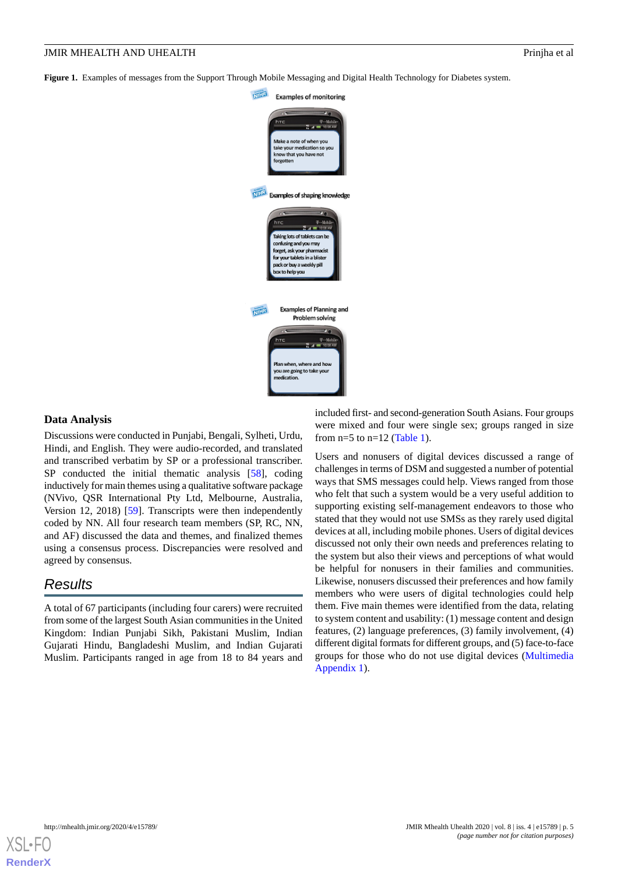#### JMIR MHEALTH AND UHEALTH **AND** SUBSETED AS A 2000 FOR THE PRINCIPLE PRINCIPLE PRINCIPLE PRINCIPLE PRINCIPLE PRINCIPLE PRINCIPLE PRINCIPLE PRINCIPLE PRINCIPLE PRINCIPLE PRINCIPLE PRINCIPLE PRINCIPLE PRINCIPLE PRINCIPLE PRIN

<span id="page-4-0"></span>**Figure 1.** Examples of messages from the Support Through Mobile Messaging and Digital Health Technology for Diabetes system.



#### **Data Analysis**

Discussions were conducted in Punjabi, Bengali, Sylheti, Urdu, Hindi, and English. They were audio-recorded, and translated and transcribed verbatim by SP or a professional transcriber. SP conducted the initial thematic analysis [[58\]](#page-12-15), coding inductively for main themes using a qualitative software package (NVivo, QSR International Pty Ltd, Melbourne, Australia, Version 12, 2018) [\[59](#page-12-16)]. Transcripts were then independently coded by NN. All four research team members (SP, RC, NN, and AF) discussed the data and themes, and finalized themes using a consensus process. Discrepancies were resolved and agreed by consensus.

## *Results*

A total of 67 participants (including four carers) were recruited from some of the largest South Asian communities in the United Kingdom: Indian Punjabi Sikh, Pakistani Muslim, Indian Gujarati Hindu, Bangladeshi Muslim, and Indian Gujarati Muslim. Participants ranged in age from 18 to 84 years and

included first- and second-generation South Asians. Four groups were mixed and four were single sex; groups ranged in size from  $n=5$  to  $n=12$  [\(Table 1\)](#page-5-0).

Users and nonusers of digital devices discussed a range of challenges in terms of DSM and suggested a number of potential ways that SMS messages could help. Views ranged from those who felt that such a system would be a very useful addition to supporting existing self-management endeavors to those who stated that they would not use SMSs as they rarely used digital devices at all, including mobile phones. Users of digital devices discussed not only their own needs and preferences relating to the system but also their views and perceptions of what would be helpful for nonusers in their families and communities. Likewise, nonusers discussed their preferences and how family members who were users of digital technologies could help them. Five main themes were identified from the data, relating to system content and usability: (1) message content and design features, (2) language preferences, (3) family involvement, (4) different digital formats for different groups, and (5) face-to-face groups for those who do not use digital devices [\(Multimedia](#page-9-0) [Appendix 1\)](#page-9-0).

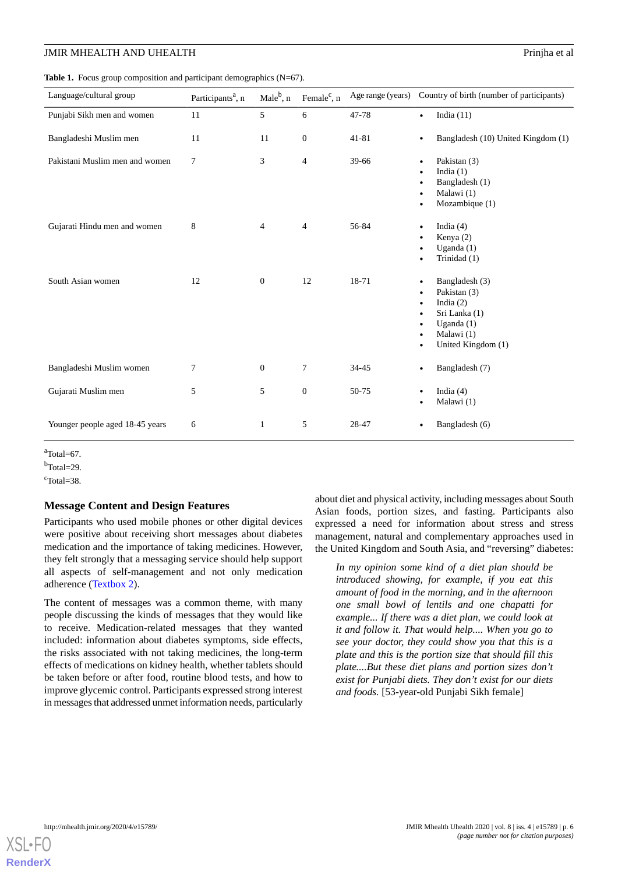## JMIR MHEALTH AND UHEALTH **AND** SUBSETED AS A 2000 FOR THE PRINCIPLE PRINCIPLE ASSESSED.

<span id="page-5-0"></span>Table 1. Focus group composition and participant demographics (N=67).

| Language/cultural group         | Participants <sup>a</sup> , n | Male <sup>b</sup> , n | Female <sup>c</sup> , n | Age range (years) | Country of birth (number of participants)                                                                                                                                                        |
|---------------------------------|-------------------------------|-----------------------|-------------------------|-------------------|--------------------------------------------------------------------------------------------------------------------------------------------------------------------------------------------------|
| Punjabi Sikh men and women      | 11                            | 5                     | 6                       | 47-78             | India $(11)$<br>$\bullet$                                                                                                                                                                        |
| Bangladeshi Muslim men          | 11                            | 11                    | $\mathbf{0}$            | $41 - 81$         | Bangladesh (10) United Kingdom (1)<br>$\bullet$                                                                                                                                                  |
| Pakistani Muslim men and women  | $\overline{7}$                | 3                     | $\overline{4}$          | 39-66             | Pakistan (3)<br>$\bullet$<br>India $(1)$<br>$\bullet$<br>Bangladesh (1)<br>Malawi (1)<br>٠<br>Mozambique (1)<br>$\bullet$                                                                        |
| Gujarati Hindu men and women    | 8                             | $\overline{4}$        | $\overline{4}$          | 56-84             | India $(4)$<br>$\bullet$<br>Kenya (2)<br>Uganda $(1)$<br>Trinidad (1)                                                                                                                            |
| South Asian women               | 12                            | $\overline{0}$        | 12                      | 18-71             | Bangladesh (3)<br>$\bullet$<br>Pakistan (3)<br>$\bullet$<br>India $(2)$<br>$\bullet$<br>Sri Lanka (1)<br>$\bullet$<br>Uganda $(1)$<br>$\bullet$<br>Malawi (1)<br>$\bullet$<br>United Kingdom (1) |
| Bangladeshi Muslim women        | 7                             | $\overline{0}$        | 7                       | $34 - 45$         | Bangladesh (7)<br>٠                                                                                                                                                                              |
| Gujarati Muslim men             | 5                             | 5                     | $\boldsymbol{0}$        | 50-75             | India $(4)$<br>Malawi (1)<br>$\bullet$                                                                                                                                                           |
| Younger people aged 18-45 years | 6                             | $\mathbf{1}$          | 5                       | 28-47             | Bangladesh (6)<br>٠                                                                                                                                                                              |

 $a$ Total=67.

 $<sup>b</sup>$ Total=29.</sup>

 $\text{Total}=38$ .

### **Message Content and Design Features**

Participants who used mobile phones or other digital devices were positive about receiving short messages about diabetes medication and the importance of taking medicines. However, they felt strongly that a messaging service should help support all aspects of self-management and not only medication adherence ([Textbox 2\)](#page-6-0).

The content of messages was a common theme, with many people discussing the kinds of messages that they would like to receive. Medication-related messages that they wanted included: information about diabetes symptoms, side effects, the risks associated with not taking medicines, the long-term effects of medications on kidney health, whether tablets should be taken before or after food, routine blood tests, and how to improve glycemic control. Participants expressed strong interest in messages that addressed unmet information needs, particularly about diet and physical activity, including messages about South Asian foods, portion sizes, and fasting. Participants also expressed a need for information about stress and stress management, natural and complementary approaches used in the United Kingdom and South Asia, and "reversing" diabetes:

*In my opinion some kind of a diet plan should be introduced showing, for example, if you eat this amount of food in the morning, and in the afternoon one small bowl of lentils and one chapatti for example... If there was a diet plan, we could look at it and follow it. That would help.... When you go to see your doctor, they could show you that this is a plate and this is the portion size that should fill this plate....But these diet plans and portion sizes don't exist for Punjabi diets. They don't exist for our diets and foods.* [53-year-old Punjabi Sikh female]

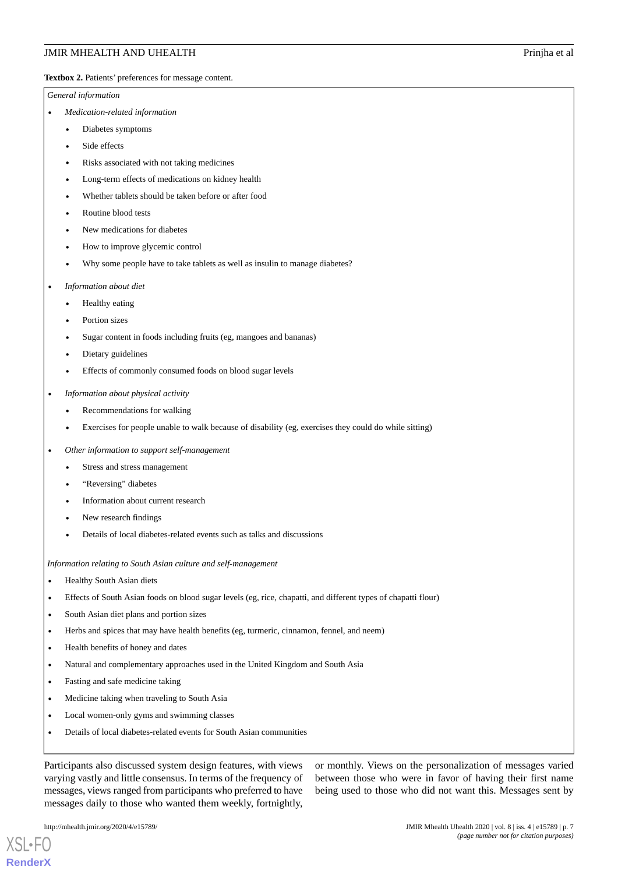#### JMIR MHEALTH AND UHEALTH **AND** SUBSETED AS A 2000 FOR THE PRINCIPLE PRINCIPLE PRINCIPLE PRINCIPLE PRINCIPLE PRINCIPLE PRINCIPLE PRINCIPLE PRINCIPLE PRINCIPLE PRINCIPLE PRINCIPLE PRINCIPLE PRINCIPLE PRINCIPLE PRINCIPLE PRIN

<span id="page-6-0"></span>Textbox 2. Patients' preferences for message content.

#### *General information*

- *Medication-related information*
	- Diabetes symptoms
	- Side effects
	- Risks associated with not taking medicines
	- Long-term effects of medications on kidney health
	- Whether tablets should be taken before or after food
	- Routine blood tests
	- New medications for diabetes
	- How to improve glycemic control
	- Why some people have to take tablets as well as insulin to manage diabetes?
- *Information about diet*
	- Healthy eating
	- Portion sizes
	- Sugar content in foods including fruits (eg, mangoes and bananas)
	- Dietary guidelines
	- Effects of commonly consumed foods on blood sugar levels
- *Information about physical activity*
	- Recommendations for walking
	- Exercises for people unable to walk because of disability (eg, exercises they could do while sitting)
- *Other information to support self-management*
	- Stress and stress management
	- "Reversing" diabetes
	- Information about current research
	- New research findings
	- Details of local diabetes-related events such as talks and discussions

*Information relating to South Asian culture and self-management*

- Healthy South Asian diets
- Effects of South Asian foods on blood sugar levels (eg, rice, chapatti, and different types of chapatti flour)
- South Asian diet plans and portion sizes
- Herbs and spices that may have health benefits (eg, turmeric, cinnamon, fennel, and neem)
- Health benefits of honey and dates
- Natural and complementary approaches used in the United Kingdom and South Asia
- Fasting and safe medicine taking
- Medicine taking when traveling to South Asia
- Local women-only gyms and swimming classes
- Details of local diabetes-related events for South Asian communities

Participants also discussed system design features, with views varying vastly and little consensus. In terms of the frequency of messages, views ranged from participants who preferred to have messages daily to those who wanted them weekly, fortnightly,

being used to those who did not want this. Messages sent by

or monthly. Views on the personalization of messages varied between those who were in favor of having their first name

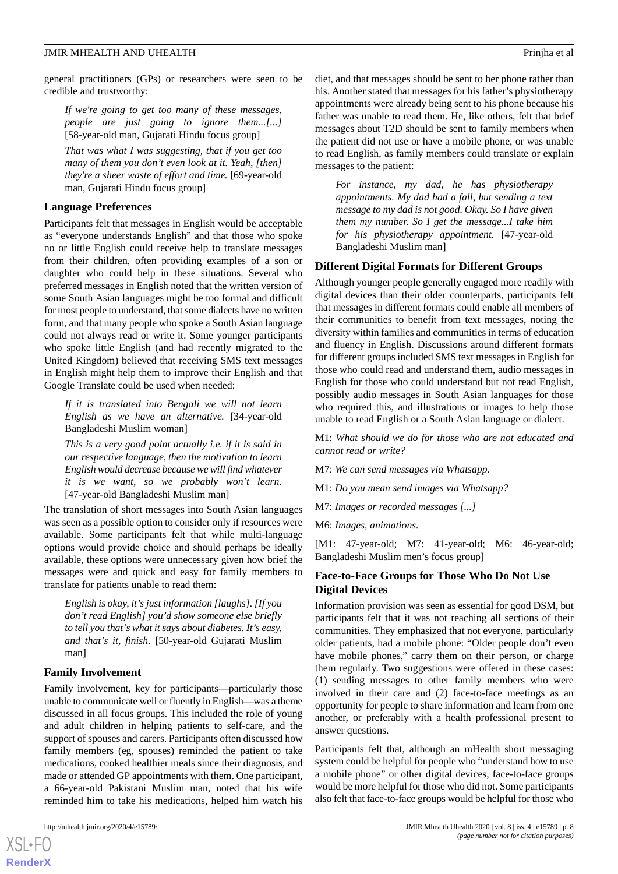general practitioners (GPs) or researchers were seen to be credible and trustworthy:

*If we're going to get too many of these messages, people are just going to ignore them...[...]* [58-year-old man, Gujarati Hindu focus group]

*That was what I was suggesting, that if you get too many of them you don't even look at it. Yeah, [then] they're a sheer waste of effort and time.* [69-year-old man, Gujarati Hindu focus group]

#### **Language Preferences**

Participants felt that messages in English would be acceptable as "everyone understands English" and that those who spoke no or little English could receive help to translate messages from their children, often providing examples of a son or daughter who could help in these situations. Several who preferred messages in English noted that the written version of some South Asian languages might be too formal and difficult for most people to understand, that some dialects have no written form, and that many people who spoke a South Asian language could not always read or write it. Some younger participants who spoke little English (and had recently migrated to the United Kingdom) believed that receiving SMS text messages in English might help them to improve their English and that Google Translate could be used when needed:

*If it is translated into Bengali we will not learn English as we have an alternative.* [34-year-old Bangladeshi Muslim woman]

*This is a very good point actually i.e. if it is said in our respective language, then the motivation to learn English would decrease because we will find whatever it is we want, so we probably won't learn.* [47-year-old Bangladeshi Muslim man]

The translation of short messages into South Asian languages was seen as a possible option to consider only if resources were available. Some participants felt that while multi-language options would provide choice and should perhaps be ideally available, these options were unnecessary given how brief the messages were and quick and easy for family members to translate for patients unable to read them:

*English is okay, it's just information [laughs]. [If you don't read English] you'd show someone else briefly to tell you that's what it says about diabetes. It's easy, and that's it, finish.* [50-year-old Gujarati Muslim man]

#### **Family Involvement**

Family involvement, key for participants—particularly those unable to communicate well or fluently in English—was a theme discussed in all focus groups. This included the role of young and adult children in helping patients to self-care, and the support of spouses and carers. Participants often discussed how family members (eg, spouses) reminded the patient to take medications, cooked healthier meals since their diagnosis, and made or attended GP appointments with them. One participant, a 66-year-old Pakistani Muslim man, noted that his wife reminded him to take his medications, helped him watch his

diet, and that messages should be sent to her phone rather than his. Another stated that messages for his father's physiotherapy appointments were already being sent to his phone because his father was unable to read them. He, like others, felt that brief messages about T2D should be sent to family members when the patient did not use or have a mobile phone, or was unable to read English, as family members could translate or explain messages to the patient:

*For instance, my dad, he has physiotherapy appointments. My dad had a fall, but sending a text message to my dad is not good. Okay. So I have given them my number. So I get the message...I take him for his physiotherapy appointment.* [47-year-old Bangladeshi Muslim man]

#### **Different Digital Formats for Different Groups**

Although younger people generally engaged more readily with digital devices than their older counterparts, participants felt that messages in different formats could enable all members of their communities to benefit from text messages, noting the diversity within families and communities in terms of education and fluency in English. Discussions around different formats for different groups included SMS text messages in English for those who could read and understand them, audio messages in English for those who could understand but not read English, possibly audio messages in South Asian languages for those who required this, and illustrations or images to help those unable to read English or a South Asian language or dialect.

M1: *What should we do for those who are not educated and cannot read or write?*

M7: *We can send messages via Whatsapp.*

M1: *Do you mean send images via Whatsapp?*

M7: *Images or recorded messages [...]*

M6: *Images, animations.*

[M1: 47-year-old; M7: 41-year-old; M6: 46-year-old; Bangladeshi Muslim men's focus group]

## **Face-to-Face Groups for Those Who Do Not Use Digital Devices**

Information provision was seen as essential for good DSM, but participants felt that it was not reaching all sections of their communities. They emphasized that not everyone, particularly older patients, had a mobile phone: "Older people don't even have mobile phones," carry them on their person, or charge them regularly. Two suggestions were offered in these cases: (1) sending messages to other family members who were involved in their care and (2) face-to-face meetings as an opportunity for people to share information and learn from one another, or preferably with a health professional present to answer questions.

Participants felt that, although an mHealth short messaging system could be helpful for people who "understand how to use a mobile phone" or other digital devices, face-to-face groups would be more helpful for those who did not. Some participants also felt that face-to-face groups would be helpful for those who

```
XSI - F(RenderX
```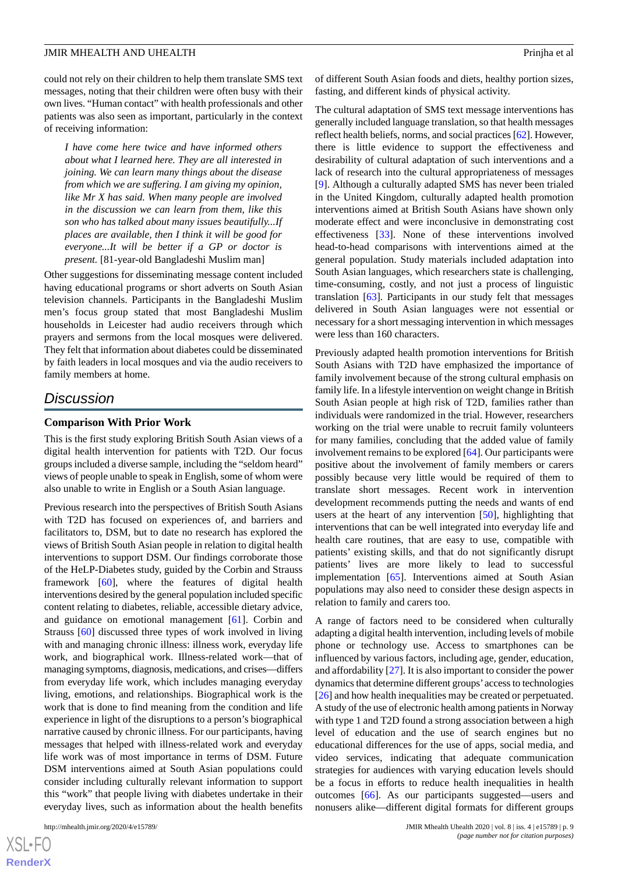could not rely on their children to help them translate SMS text messages, noting that their children were often busy with their own lives. "Human contact" with health professionals and other patients was also seen as important, particularly in the context of receiving information:

*I have come here twice and have informed others about what I learned here. They are all interested in joining. We can learn many things about the disease from which we are suffering. I am giving my opinion, like Mr X has said. When many people are involved in the discussion we can learn from them, like this son who has talked about many issues beautifully...If places are available, then I think it will be good for everyone...It will be better if a GP or doctor is present.* [81-year-old Bangladeshi Muslim man]

Other suggestions for disseminating message content included having educational programs or short adverts on South Asian television channels. Participants in the Bangladeshi Muslim men's focus group stated that most Bangladeshi Muslim households in Leicester had audio receivers through which prayers and sermons from the local mosques were delivered. They felt that information about diabetes could be disseminated by faith leaders in local mosques and via the audio receivers to family members at home.

## *Discussion*

#### **Comparison With Prior Work**

This is the first study exploring British South Asian views of a digital health intervention for patients with T2D. Our focus groups included a diverse sample, including the "seldom heard" views of people unable to speak in English, some of whom were also unable to write in English or a South Asian language.

Previous research into the perspectives of British South Asians with T2D has focused on experiences of, and barriers and facilitators to, DSM, but to date no research has explored the views of British South Asian people in relation to digital health interventions to support DSM. Our findings corroborate those of the HeLP-Diabetes study, guided by the Corbin and Strauss framework [[60\]](#page-12-17), where the features of digital health interventions desired by the general population included specific content relating to diabetes, reliable, accessible dietary advice, and guidance on emotional management [\[61](#page-12-18)]. Corbin and Strauss [\[60](#page-12-17)] discussed three types of work involved in living with and managing chronic illness: illness work, everyday life work, and biographical work. Illness-related work—that of managing symptoms, diagnosis, medications, and crises—differs from everyday life work, which includes managing everyday living, emotions, and relationships. Biographical work is the work that is done to find meaning from the condition and life experience in light of the disruptions to a person's biographical narrative caused by chronic illness. For our participants, having messages that helped with illness-related work and everyday life work was of most importance in terms of DSM. Future DSM interventions aimed at South Asian populations could consider including culturally relevant information to support this "work" that people living with diabetes undertake in their everyday lives, such as information about the health benefits

of different South Asian foods and diets, healthy portion sizes, fasting, and different kinds of physical activity.

The cultural adaptation of SMS text message interventions has generally included language translation, so that health messages reflect health beliefs, norms, and social practices [[62\]](#page-12-19). However, there is little evidence to support the effectiveness and desirability of cultural adaptation of such interventions and a lack of research into the cultural appropriateness of messages [[9\]](#page-10-8). Although a culturally adapted SMS has never been trialed in the United Kingdom, culturally adapted health promotion interventions aimed at British South Asians have shown only moderate effect and were inconclusive in demonstrating cost effectiveness [\[33](#page-11-12)]. None of these interventions involved head-to-head comparisons with interventions aimed at the general population. Study materials included adaptation into South Asian languages, which researchers state is challenging, time-consuming, costly, and not just a process of linguistic translation [\[63](#page-12-20)]. Participants in our study felt that messages delivered in South Asian languages were not essential or necessary for a short messaging intervention in which messages were less than 160 characters.

Previously adapted health promotion interventions for British South Asians with T2D have emphasized the importance of family involvement because of the strong cultural emphasis on family life. In a lifestyle intervention on weight change in British South Asian people at high risk of T2D, families rather than individuals were randomized in the trial. However, researchers working on the trial were unable to recruit family volunteers for many families, concluding that the added value of family involvement remains to be explored [[64\]](#page-13-0). Our participants were positive about the involvement of family members or carers possibly because very little would be required of them to translate short messages. Recent work in intervention development recommends putting the needs and wants of end users at the heart of any intervention [\[50](#page-12-7)], highlighting that interventions that can be well integrated into everyday life and health care routines, that are easy to use, compatible with patients' existing skills, and that do not significantly disrupt patients' lives are more likely to lead to successful implementation [[65\]](#page-13-1). Interventions aimed at South Asian populations may also need to consider these design aspects in relation to family and carers too.

A range of factors need to be considered when culturally adapting a digital health intervention, including levels of mobile phone or technology use. Access to smartphones can be influenced by various factors, including age, gender, education, and affordability [\[27](#page-11-6)]. It is also important to consider the power dynamics that determine different groups'access to technologies [[26\]](#page-11-5) and how health inequalities may be created or perpetuated. A study of the use of electronic health among patients in Norway with type 1 and T2D found a strong association between a high level of education and the use of search engines but no educational differences for the use of apps, social media, and video services, indicating that adequate communication strategies for audiences with varying education levels should be a focus in efforts to reduce health inequalities in health outcomes [\[66](#page-13-2)]. As our participants suggested—users and nonusers alike—different digital formats for different groups

```
XSL•FO
RenderX
```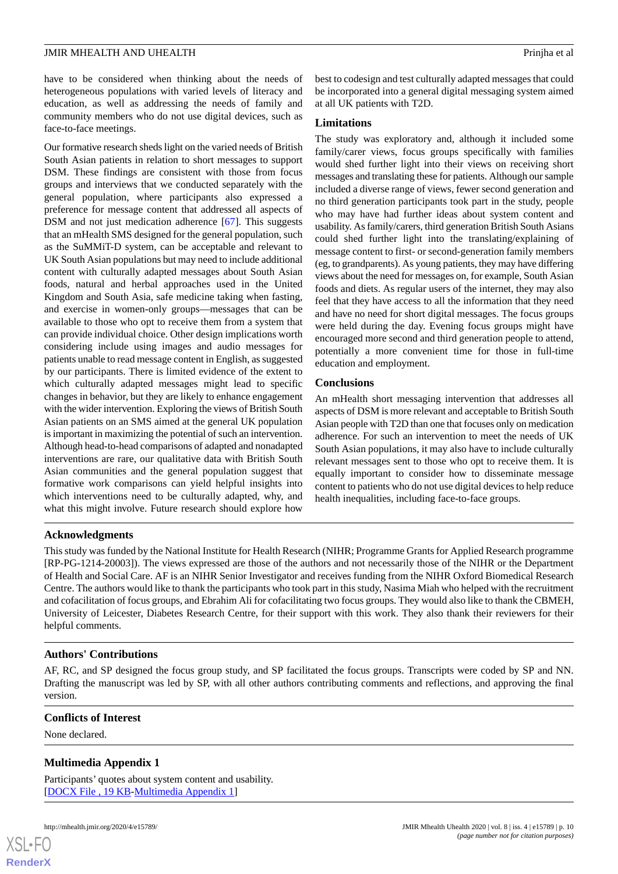have to be considered when thinking about the needs of heterogeneous populations with varied levels of literacy and education, as well as addressing the needs of family and community members who do not use digital devices, such as face-to-face meetings.

Our formative research sheds light on the varied needs of British South Asian patients in relation to short messages to support DSM. These findings are consistent with those from focus groups and interviews that we conducted separately with the general population, where participants also expressed a preference for message content that addressed all aspects of DSM and not just medication adherence [[67\]](#page-13-3). This suggests that an mHealth SMS designed for the general population, such as the SuMMiT-D system, can be acceptable and relevant to UK South Asian populations but may need to include additional content with culturally adapted messages about South Asian foods, natural and herbal approaches used in the United Kingdom and South Asia, safe medicine taking when fasting, and exercise in women-only groups—messages that can be available to those who opt to receive them from a system that can provide individual choice. Other design implications worth considering include using images and audio messages for patients unable to read message content in English, as suggested by our participants. There is limited evidence of the extent to which culturally adapted messages might lead to specific changes in behavior, but they are likely to enhance engagement with the wider intervention. Exploring the views of British South Asian patients on an SMS aimed at the general UK population is important in maximizing the potential of such an intervention. Although head-to-head comparisons of adapted and nonadapted interventions are rare, our qualitative data with British South Asian communities and the general population suggest that formative work comparisons can yield helpful insights into which interventions need to be culturally adapted, why, and what this might involve. Future research should explore how

best to codesign and test culturally adapted messages that could be incorporated into a general digital messaging system aimed at all UK patients with T2D.

#### **Limitations**

The study was exploratory and, although it included some family/carer views, focus groups specifically with families would shed further light into their views on receiving short messages and translating these for patients. Although our sample included a diverse range of views, fewer second generation and no third generation participants took part in the study, people who may have had further ideas about system content and usability. As family/carers, third generation British South Asians could shed further light into the translating/explaining of message content to first- or second-generation family members (eg, to grandparents). As young patients, they may have differing views about the need for messages on, for example, South Asian foods and diets. As regular users of the internet, they may also feel that they have access to all the information that they need and have no need for short digital messages. The focus groups were held during the day. Evening focus groups might have encouraged more second and third generation people to attend, potentially a more convenient time for those in full-time education and employment.

## **Conclusions**

An mHealth short messaging intervention that addresses all aspects of DSM is more relevant and acceptable to British South Asian people with T2D than one that focuses only on medication adherence. For such an intervention to meet the needs of UK South Asian populations, it may also have to include culturally relevant messages sent to those who opt to receive them. It is equally important to consider how to disseminate message content to patients who do not use digital devices to help reduce health inequalities, including face-to-face groups.

## **Acknowledgments**

This study was funded by the National Institute for Health Research (NIHR; Programme Grants for Applied Research programme [RP-PG-1214-20003]). The views expressed are those of the authors and not necessarily those of the NIHR or the Department of Health and Social Care. AF is an NIHR Senior Investigator and receives funding from the NIHR Oxford Biomedical Research Centre. The authors would like to thank the participants who took part in this study, Nasima Miah who helped with the recruitment and cofacilitation of focus groups, and Ebrahim Ali for cofacilitating two focus groups. They would also like to thank the CBMEH, University of Leicester, Diabetes Research Centre, for their support with this work. They also thank their reviewers for their helpful comments.

## **Authors' Contributions**

<span id="page-9-0"></span>AF, RC, and SP designed the focus group study, and SP facilitated the focus groups. Transcripts were coded by SP and NN. Drafting the manuscript was led by SP, with all other authors contributing comments and reflections, and approving the final version.

### **Conflicts of Interest**

None declared.

#### **Multimedia Appendix 1**

Participants' quotes about system content and usability. [[DOCX File , 19 KB](https://jmir.org/api/download?alt_name=mhealth_v8i4e15789_app1.docx&filename=168db51448dfcaf6240080b41c3f1a23.docx)-[Multimedia Appendix 1\]](https://jmir.org/api/download?alt_name=mhealth_v8i4e15789_app1.docx&filename=168db51448dfcaf6240080b41c3f1a23.docx)



**[RenderX](http://www.renderx.com/)**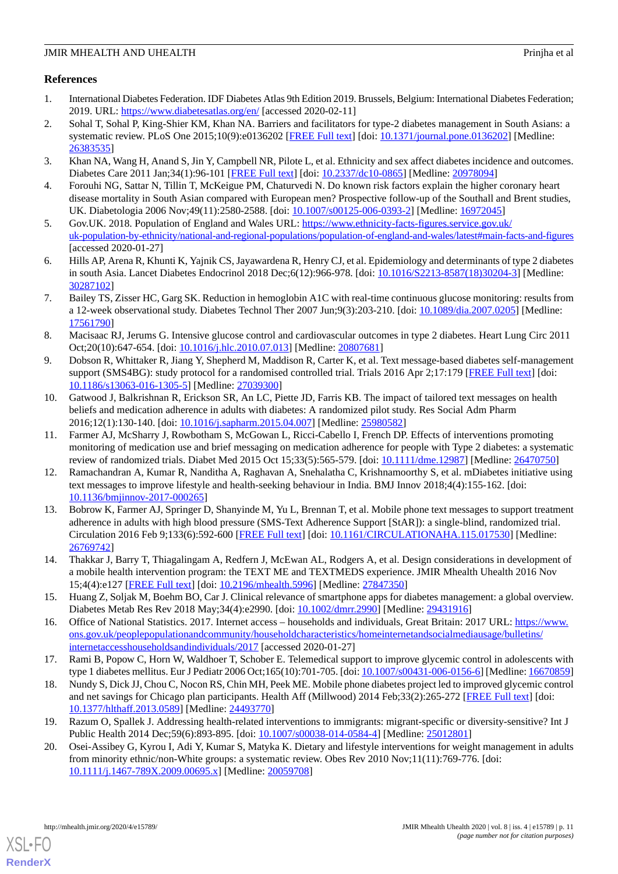## JMIR MHEALTH AND UHEALTH

## **References**

- <span id="page-10-0"></span>1. International Diabetes Federation. IDF Diabetes Atlas 9th Edition 2019. Brussels, Belgium: International Diabetes Federation; 2019. URL: <https://www.diabetesatlas.org/en/> [accessed 2020-02-11]
- <span id="page-10-1"></span>2. Sohal T, Sohal P, King-Shier KM, Khan NA. Barriers and facilitators for type-2 diabetes management in South Asians: a systematic review. PLoS One 2015;10(9):e0136202 [[FREE Full text](http://dx.plos.org/10.1371/journal.pone.0136202)] [doi: [10.1371/journal.pone.0136202](http://dx.doi.org/10.1371/journal.pone.0136202)] [Medline: [26383535](http://www.ncbi.nlm.nih.gov/entrez/query.fcgi?cmd=Retrieve&db=PubMed&list_uids=26383535&dopt=Abstract)]
- <span id="page-10-3"></span><span id="page-10-2"></span>3. Khan NA, Wang H, Anand S, Jin Y, Campbell NR, Pilote L, et al. Ethnicity and sex affect diabetes incidence and outcomes. Diabetes Care 2011 Jan;34(1):96-101 [[FREE Full text](http://europepmc.org/abstract/MED/20978094)] [doi: [10.2337/dc10-0865](http://dx.doi.org/10.2337/dc10-0865)] [Medline: [20978094](http://www.ncbi.nlm.nih.gov/entrez/query.fcgi?cmd=Retrieve&db=PubMed&list_uids=20978094&dopt=Abstract)]
- <span id="page-10-4"></span>4. Forouhi NG, Sattar N, Tillin T, McKeigue PM, Chaturvedi N. Do known risk factors explain the higher coronary heart disease mortality in South Asian compared with European men? Prospective follow-up of the Southall and Brent studies, UK. Diabetologia 2006 Nov;49(11):2580-2588. [doi: [10.1007/s00125-006-0393-2\]](http://dx.doi.org/10.1007/s00125-006-0393-2) [Medline: [16972045\]](http://www.ncbi.nlm.nih.gov/entrez/query.fcgi?cmd=Retrieve&db=PubMed&list_uids=16972045&dopt=Abstract)
- <span id="page-10-5"></span>5. Gov.UK. 2018. Population of England and Wales URL: [https://www.ethnicity-facts-figures.service.gov.uk/](https://www.ethnicity-facts-figures.service.gov.uk/uk-population-by-ethnicity/national-and-regional-populations/population-of-england-and-wales/latest#main-facts-and-figures) [uk-population-by-ethnicity/national-and-regional-populations/population-of-england-and-wales/latest#main-facts-and-figures](https://www.ethnicity-facts-figures.service.gov.uk/uk-population-by-ethnicity/national-and-regional-populations/population-of-england-and-wales/latest#main-facts-and-figures) [accessed 2020-01-27]
- <span id="page-10-6"></span>6. Hills AP, Arena R, Khunti K, Yajnik CS, Jayawardena R, Henry CJ, et al. Epidemiology and determinants of type 2 diabetes in south Asia. Lancet Diabetes Endocrinol 2018 Dec;6(12):966-978. [doi: [10.1016/S2213-8587\(18\)30204-3](http://dx.doi.org/10.1016/S2213-8587(18)30204-3)] [Medline: [30287102](http://www.ncbi.nlm.nih.gov/entrez/query.fcgi?cmd=Retrieve&db=PubMed&list_uids=30287102&dopt=Abstract)]
- <span id="page-10-7"></span>7. Bailey TS, Zisser HC, Garg SK. Reduction in hemoglobin A1C with real-time continuous glucose monitoring: results from a 12-week observational study. Diabetes Technol Ther 2007 Jun;9(3):203-210. [doi: [10.1089/dia.2007.0205\]](http://dx.doi.org/10.1089/dia.2007.0205) [Medline: [17561790](http://www.ncbi.nlm.nih.gov/entrez/query.fcgi?cmd=Retrieve&db=PubMed&list_uids=17561790&dopt=Abstract)]
- <span id="page-10-8"></span>8. Macisaac RJ, Jerums G. Intensive glucose control and cardiovascular outcomes in type 2 diabetes. Heart Lung Circ 2011 Oct;20(10):647-654. [doi: [10.1016/j.hlc.2010.07.013](http://dx.doi.org/10.1016/j.hlc.2010.07.013)] [Medline: [20807681\]](http://www.ncbi.nlm.nih.gov/entrez/query.fcgi?cmd=Retrieve&db=PubMed&list_uids=20807681&dopt=Abstract)
- <span id="page-10-9"></span>9. Dobson R, Whittaker R, Jiang Y, Shepherd M, Maddison R, Carter K, et al. Text message-based diabetes self-management support (SMS4BG): study protocol for a randomised controlled trial. Trials 2016 Apr 2:17:179 [[FREE Full text](https://trialsjournal.biomedcentral.com/articles/10.1186/s13063-016-1305-5)] [doi: [10.1186/s13063-016-1305-5\]](http://dx.doi.org/10.1186/s13063-016-1305-5) [Medline: [27039300](http://www.ncbi.nlm.nih.gov/entrez/query.fcgi?cmd=Retrieve&db=PubMed&list_uids=27039300&dopt=Abstract)]
- <span id="page-10-10"></span>10. Gatwood J, Balkrishnan R, Erickson SR, An LC, Piette JD, Farris KB. The impact of tailored text messages on health beliefs and medication adherence in adults with diabetes: A randomized pilot study. Res Social Adm Pharm 2016;12(1):130-140. [doi: [10.1016/j.sapharm.2015.04.007](http://dx.doi.org/10.1016/j.sapharm.2015.04.007)] [Medline: [25980582](http://www.ncbi.nlm.nih.gov/entrez/query.fcgi?cmd=Retrieve&db=PubMed&list_uids=25980582&dopt=Abstract)]
- <span id="page-10-11"></span>11. Farmer AJ, McSharry J, Rowbotham S, McGowan L, Ricci-Cabello I, French DP. Effects of interventions promoting monitoring of medication use and brief messaging on medication adherence for people with Type 2 diabetes: a systematic review of randomized trials. Diabet Med 2015 Oct 15;33(5):565-579. [doi: [10.1111/dme.12987\]](http://dx.doi.org/10.1111/dme.12987) [Medline: [26470750](http://www.ncbi.nlm.nih.gov/entrez/query.fcgi?cmd=Retrieve&db=PubMed&list_uids=26470750&dopt=Abstract)]
- <span id="page-10-12"></span>12. Ramachandran A, Kumar R, Nanditha A, Raghavan A, Snehalatha C, Krishnamoorthy S, et al. mDiabetes initiative using text messages to improve lifestyle and health-seeking behaviour in India. BMJ Innov 2018;4(4):155-162. [doi: [10.1136/bmjinnov-2017-000265\]](http://dx.doi.org/10.1136/bmjinnov-2017-000265)
- <span id="page-10-13"></span>13. Bobrow K, Farmer AJ, Springer D, Shanyinde M, Yu L, Brennan T, et al. Mobile phone text messages to support treatment adherence in adults with high blood pressure (SMS-Text Adherence Support [StAR]): a single-blind, randomized trial. Circulation 2016 Feb 9;133(6):592-600 [\[FREE Full text\]](http://europepmc.org/abstract/MED/26769742) [doi: [10.1161/CIRCULATIONAHA.115.017530](http://dx.doi.org/10.1161/CIRCULATIONAHA.115.017530)] [Medline: [26769742](http://www.ncbi.nlm.nih.gov/entrez/query.fcgi?cmd=Retrieve&db=PubMed&list_uids=26769742&dopt=Abstract)]
- <span id="page-10-15"></span><span id="page-10-14"></span>14. Thakkar J, Barry T, Thiagalingam A, Redfern J, McEwan AL, Rodgers A, et al. Design considerations in development of a mobile health intervention program: the TEXT ME and TEXTMEDS experience. JMIR Mhealth Uhealth 2016 Nov 15;4(4):e127 [\[FREE Full text](https://mhealth.jmir.org/2016/4/e127/)] [doi: [10.2196/mhealth.5996\]](http://dx.doi.org/10.2196/mhealth.5996) [Medline: [27847350](http://www.ncbi.nlm.nih.gov/entrez/query.fcgi?cmd=Retrieve&db=PubMed&list_uids=27847350&dopt=Abstract)]
- <span id="page-10-16"></span>15. Huang Z, Soljak M, Boehm BO, Car J. Clinical relevance of smartphone apps for diabetes management: a global overview. Diabetes Metab Res Rev 2018 May;34(4):e2990. [doi: [10.1002/dmrr.2990\]](http://dx.doi.org/10.1002/dmrr.2990) [Medline: [29431916](http://www.ncbi.nlm.nih.gov/entrez/query.fcgi?cmd=Retrieve&db=PubMed&list_uids=29431916&dopt=Abstract)]
- <span id="page-10-17"></span>16. Office of National Statistics. 2017. Internet access – households and individuals, Great Britain: 2017 URL: [https://www.](https://www.ons.gov.uk/peoplepopulationandcommunity/householdcharacteristics/homeinternetandsocialmediausage/bulletins/internetaccesshouseholdsandindividuals/2017) [ons.gov.uk/peoplepopulationandcommunity/householdcharacteristics/homeinternetandsocialmediausage/bulletins/](https://www.ons.gov.uk/peoplepopulationandcommunity/householdcharacteristics/homeinternetandsocialmediausage/bulletins/internetaccesshouseholdsandindividuals/2017) [internetaccesshouseholdsandindividuals/2017](https://www.ons.gov.uk/peoplepopulationandcommunity/householdcharacteristics/homeinternetandsocialmediausage/bulletins/internetaccesshouseholdsandindividuals/2017) [accessed 2020-01-27]
- <span id="page-10-18"></span>17. Rami B, Popow C, Horn W, Waldhoer T, Schober E. Telemedical support to improve glycemic control in adolescents with type 1 diabetes mellitus. Eur J Pediatr 2006 Oct;165(10):701-705. [doi: [10.1007/s00431-006-0156-6\]](http://dx.doi.org/10.1007/s00431-006-0156-6) [Medline: [16670859](http://www.ncbi.nlm.nih.gov/entrez/query.fcgi?cmd=Retrieve&db=PubMed&list_uids=16670859&dopt=Abstract)]
- 18. Nundy S, Dick JJ, Chou C, Nocon RS, Chin MH, Peek ME. Mobile phone diabetes project led to improved glycemic control and net savings for Chicago plan participants. Health Aff (Millwood) 2014 Feb;33(2):265-272 [\[FREE Full text\]](http://europepmc.org/abstract/MED/24493770) [doi: [10.1377/hlthaff.2013.0589](http://dx.doi.org/10.1377/hlthaff.2013.0589)] [Medline: [24493770\]](http://www.ncbi.nlm.nih.gov/entrez/query.fcgi?cmd=Retrieve&db=PubMed&list_uids=24493770&dopt=Abstract)
- 19. Razum O, Spallek J. Addressing health-related interventions to immigrants: migrant-specific or diversity-sensitive? Int J Public Health 2014 Dec;59(6):893-895. [doi: [10.1007/s00038-014-0584-4](http://dx.doi.org/10.1007/s00038-014-0584-4)] [Medline: [25012801](http://www.ncbi.nlm.nih.gov/entrez/query.fcgi?cmd=Retrieve&db=PubMed&list_uids=25012801&dopt=Abstract)]
- 20. Osei-Assibey G, Kyrou I, Adi Y, Kumar S, Matyka K. Dietary and lifestyle interventions for weight management in adults from minority ethnic/non-White groups: a systematic review. Obes Rev 2010 Nov;11(11):769-776. [doi: [10.1111/j.1467-789X.2009.00695.x](http://dx.doi.org/10.1111/j.1467-789X.2009.00695.x)] [Medline: [20059708\]](http://www.ncbi.nlm.nih.gov/entrez/query.fcgi?cmd=Retrieve&db=PubMed&list_uids=20059708&dopt=Abstract)

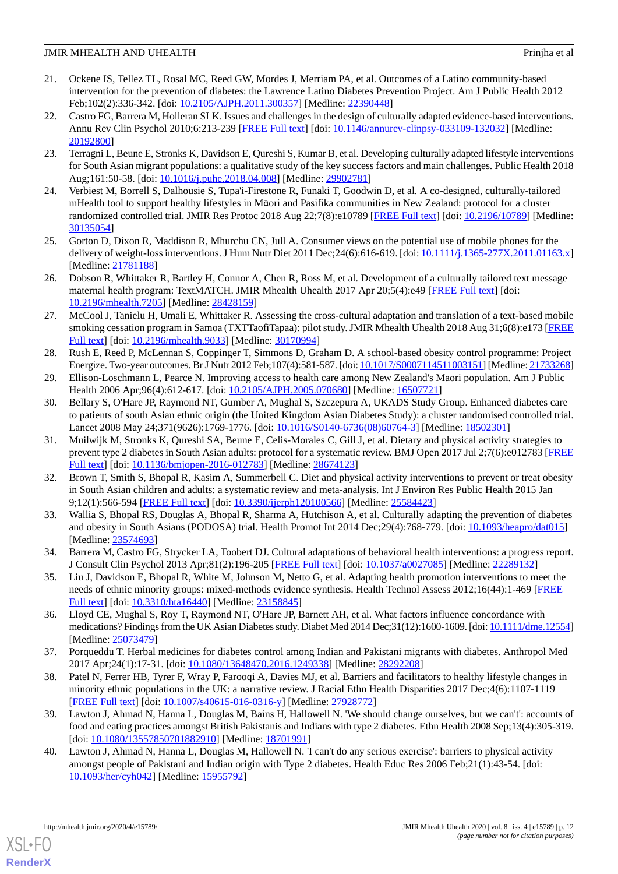- <span id="page-11-0"></span>21. Ockene IS, Tellez TL, Rosal MC, Reed GW, Mordes J, Merriam PA, et al. Outcomes of a Latino community-based intervention for the prevention of diabetes: the Lawrence Latino Diabetes Prevention Project. Am J Public Health 2012 Feb;102(2):336-342. [doi: [10.2105/AJPH.2011.300357\]](http://dx.doi.org/10.2105/AJPH.2011.300357) [Medline: [22390448](http://www.ncbi.nlm.nih.gov/entrez/query.fcgi?cmd=Retrieve&db=PubMed&list_uids=22390448&dopt=Abstract)]
- <span id="page-11-1"></span>22. Castro FG, Barrera M, Holleran SLK. Issues and challenges in the design of culturally adapted evidence-based interventions. Annu Rev Clin Psychol 2010;6:213-239 [\[FREE Full text\]](http://europepmc.org/abstract/MED/20192800) [doi: [10.1146/annurev-clinpsy-033109-132032\]](http://dx.doi.org/10.1146/annurev-clinpsy-033109-132032) [Medline: [20192800](http://www.ncbi.nlm.nih.gov/entrez/query.fcgi?cmd=Retrieve&db=PubMed&list_uids=20192800&dopt=Abstract)]
- <span id="page-11-2"></span>23. Terragni L, Beune E, Stronks K, Davidson E, Qureshi S, Kumar B, et al. Developing culturally adapted lifestyle interventions for South Asian migrant populations: a qualitative study of the key success factors and main challenges. Public Health 2018 Aug;161:50-58. [doi: [10.1016/j.puhe.2018.04.008](http://dx.doi.org/10.1016/j.puhe.2018.04.008)] [Medline: [29902781](http://www.ncbi.nlm.nih.gov/entrez/query.fcgi?cmd=Retrieve&db=PubMed&list_uids=29902781&dopt=Abstract)]
- <span id="page-11-3"></span>24. Verbiest M, Borrell S, Dalhousie S, Tupa'i-Firestone R, Funaki T, Goodwin D, et al. A co-designed, culturally-tailored mHealth tool to support healthy lifestyles in Māori and Pasifika communities in New Zealand: protocol for a cluster randomized controlled trial. JMIR Res Protoc 2018 Aug 22;7(8):e10789 [\[FREE Full text](https://www.researchprotocols.org/2018/8/e10789/)] [doi: [10.2196/10789\]](http://dx.doi.org/10.2196/10789) [Medline: [30135054](http://www.ncbi.nlm.nih.gov/entrez/query.fcgi?cmd=Retrieve&db=PubMed&list_uids=30135054&dopt=Abstract)]
- <span id="page-11-5"></span><span id="page-11-4"></span>25. Gorton D, Dixon R, Maddison R, Mhurchu CN, Jull A. Consumer views on the potential use of mobile phones for the delivery of weight-loss interventions. J Hum Nutr Diet 2011 Dec; 24(6): 616-619. [doi: [10.1111/j.1365-277X.2011.01163.x](http://dx.doi.org/10.1111/j.1365-277X.2011.01163.x)] [Medline: [21781188](http://www.ncbi.nlm.nih.gov/entrez/query.fcgi?cmd=Retrieve&db=PubMed&list_uids=21781188&dopt=Abstract)]
- <span id="page-11-6"></span>26. Dobson R, Whittaker R, Bartley H, Connor A, Chen R, Ross M, et al. Development of a culturally tailored text message maternal health program: TextMATCH. JMIR Mhealth Uhealth 2017 Apr 20;5(4):e49 [[FREE Full text](http://mhealth.jmir.org/2017/4/e49/)] [doi: [10.2196/mhealth.7205](http://dx.doi.org/10.2196/mhealth.7205)] [Medline: [28428159](http://www.ncbi.nlm.nih.gov/entrez/query.fcgi?cmd=Retrieve&db=PubMed&list_uids=28428159&dopt=Abstract)]
- <span id="page-11-7"></span>27. McCool J, Tanielu H, Umali E, Whittaker R. Assessing the cross-cultural adaptation and translation of a text-based mobile smoking cessation program in Samoa (TXTTaofiTapaa): pilot study. JMIR Mhealth Uhealth 2018 Aug 31;6(8):e173 [\[FREE](https://mhealth.jmir.org/2018/8/e173/) [Full text\]](https://mhealth.jmir.org/2018/8/e173/) [doi: [10.2196/mhealth.9033](http://dx.doi.org/10.2196/mhealth.9033)] [Medline: [30170994\]](http://www.ncbi.nlm.nih.gov/entrez/query.fcgi?cmd=Retrieve&db=PubMed&list_uids=30170994&dopt=Abstract)
- <span id="page-11-9"></span><span id="page-11-8"></span>28. Rush E, Reed P, McLennan S, Coppinger T, Simmons D, Graham D. A school-based obesity control programme: Project Energize. Two-year outcomes. Br J Nutr 2012 Feb;107(4):581-587. [doi: [10.1017/S0007114511003151](http://dx.doi.org/10.1017/S0007114511003151)] [Medline: [21733268\]](http://www.ncbi.nlm.nih.gov/entrez/query.fcgi?cmd=Retrieve&db=PubMed&list_uids=21733268&dopt=Abstract)
- 29. Ellison-Loschmann L, Pearce N. Improving access to health care among New Zealand's Maori population. Am J Public Health 2006 Apr;96(4):612-617. [doi: [10.2105/AJPH.2005.070680\]](http://dx.doi.org/10.2105/AJPH.2005.070680) [Medline: [16507721\]](http://www.ncbi.nlm.nih.gov/entrez/query.fcgi?cmd=Retrieve&db=PubMed&list_uids=16507721&dopt=Abstract)
- <span id="page-11-10"></span>30. Bellary S, O'Hare JP, Raymond NT, Gumber A, Mughal S, Szczepura A, UKADS Study Group. Enhanced diabetes care to patients of south Asian ethnic origin (the United Kingdom Asian Diabetes Study): a cluster randomised controlled trial. Lancet 2008 May 24;371(9626):1769-1776. [doi: [10.1016/S0140-6736\(08\)60764-3\]](http://dx.doi.org/10.1016/S0140-6736(08)60764-3) [Medline: [18502301](http://www.ncbi.nlm.nih.gov/entrez/query.fcgi?cmd=Retrieve&db=PubMed&list_uids=18502301&dopt=Abstract)]
- <span id="page-11-11"></span>31. Muilwijk M, Stronks K, Qureshi SA, Beune E, Celis-Morales C, Gill J, et al. Dietary and physical activity strategies to prevent type 2 diabetes in South Asian adults: protocol for a systematic review. BMJ Open 2017 Jul 2;7(6):e012783 [\[FREE](http://bmjopen.bmj.com/cgi/pmidlookup?view=long&pmid=28674123) [Full text\]](http://bmjopen.bmj.com/cgi/pmidlookup?view=long&pmid=28674123) [doi: [10.1136/bmjopen-2016-012783](http://dx.doi.org/10.1136/bmjopen-2016-012783)] [Medline: [28674123\]](http://www.ncbi.nlm.nih.gov/entrez/query.fcgi?cmd=Retrieve&db=PubMed&list_uids=28674123&dopt=Abstract)
- <span id="page-11-12"></span>32. Brown T, Smith S, Bhopal R, Kasim A, Summerbell C. Diet and physical activity interventions to prevent or treat obesity in South Asian children and adults: a systematic review and meta-analysis. Int J Environ Res Public Health 2015 Jan 9;12(1):566-594 [[FREE Full text](http://www.mdpi.com/resolver?pii=ijerph120100566)] [doi: [10.3390/ijerph120100566](http://dx.doi.org/10.3390/ijerph120100566)] [Medline: [25584423\]](http://www.ncbi.nlm.nih.gov/entrez/query.fcgi?cmd=Retrieve&db=PubMed&list_uids=25584423&dopt=Abstract)
- <span id="page-11-14"></span><span id="page-11-13"></span>33. Wallia S, Bhopal RS, Douglas A, Bhopal R, Sharma A, Hutchison A, et al. Culturally adapting the prevention of diabetes and obesity in South Asians (PODOSA) trial. Health Promot Int 2014 Dec;29(4):768-779. [doi: [10.1093/heapro/dat015\]](http://dx.doi.org/10.1093/heapro/dat015) [Medline: [23574693](http://www.ncbi.nlm.nih.gov/entrez/query.fcgi?cmd=Retrieve&db=PubMed&list_uids=23574693&dopt=Abstract)]
- <span id="page-11-15"></span>34. Barrera M, Castro FG, Strycker LA, Toobert DJ. Cultural adaptations of behavioral health interventions: a progress report. J Consult Clin Psychol 2013 Apr;81(2):196-205 [[FREE Full text](http://europepmc.org/abstract/MED/22289132)] [doi: [10.1037/a0027085](http://dx.doi.org/10.1037/a0027085)] [Medline: [22289132\]](http://www.ncbi.nlm.nih.gov/entrez/query.fcgi?cmd=Retrieve&db=PubMed&list_uids=22289132&dopt=Abstract)
- <span id="page-11-16"></span>35. Liu J, Davidson E, Bhopal R, White M, Johnson M, Netto G, et al. Adapting health promotion interventions to meet the needs of ethnic minority groups: mixed-methods evidence synthesis. Health Technol Assess 2012;16(44):1-469 [[FREE](https://doi.org/10.3310/hta16440) [Full text\]](https://doi.org/10.3310/hta16440) [doi: [10.3310/hta16440\]](http://dx.doi.org/10.3310/hta16440) [Medline: [23158845\]](http://www.ncbi.nlm.nih.gov/entrez/query.fcgi?cmd=Retrieve&db=PubMed&list_uids=23158845&dopt=Abstract)
- <span id="page-11-17"></span>36. Lloyd CE, Mughal S, Roy T, Raymond NT, O'Hare JP, Barnett AH, et al. What factors influence concordance with medications? Findings from the UK Asian Diabetes study. Diabet Med 2014 Dec;31(12):1600-1609. [doi: [10.1111/dme.12554\]](http://dx.doi.org/10.1111/dme.12554) [Medline: [25073479](http://www.ncbi.nlm.nih.gov/entrez/query.fcgi?cmd=Retrieve&db=PubMed&list_uids=25073479&dopt=Abstract)]
- <span id="page-11-18"></span>37. Porqueddu T. Herbal medicines for diabetes control among Indian and Pakistani migrants with diabetes. Anthropol Med 2017 Apr;24(1):17-31. [doi: [10.1080/13648470.2016.1249338\]](http://dx.doi.org/10.1080/13648470.2016.1249338) [Medline: [28292208\]](http://www.ncbi.nlm.nih.gov/entrez/query.fcgi?cmd=Retrieve&db=PubMed&list_uids=28292208&dopt=Abstract)
- <span id="page-11-19"></span>38. Patel N, Ferrer HB, Tyrer F, Wray P, Farooqi A, Davies MJ, et al. Barriers and facilitators to healthy lifestyle changes in minority ethnic populations in the UK: a narrative review. J Racial Ethn Health Disparities 2017 Dec;4(6):1107-1119 [[FREE Full text](http://europepmc.org/abstract/MED/27928772)] [doi: [10.1007/s40615-016-0316-y\]](http://dx.doi.org/10.1007/s40615-016-0316-y) [Medline: [27928772](http://www.ncbi.nlm.nih.gov/entrez/query.fcgi?cmd=Retrieve&db=PubMed&list_uids=27928772&dopt=Abstract)]
- 39. Lawton J, Ahmad N, Hanna L, Douglas M, Bains H, Hallowell N. 'We should change ourselves, but we can't': accounts of food and eating practices amongst British Pakistanis and Indians with type 2 diabetes. Ethn Health 2008 Sep;13(4):305-319. [doi: [10.1080/13557850701882910](http://dx.doi.org/10.1080/13557850701882910)] [Medline: [18701991\]](http://www.ncbi.nlm.nih.gov/entrez/query.fcgi?cmd=Retrieve&db=PubMed&list_uids=18701991&dopt=Abstract)
- 40. Lawton J, Ahmad N, Hanna L, Douglas M, Hallowell N. 'I can't do any serious exercise': barriers to physical activity amongst people of Pakistani and Indian origin with Type 2 diabetes. Health Educ Res 2006 Feb;21(1):43-54. [doi: [10.1093/her/cyh042\]](http://dx.doi.org/10.1093/her/cyh042) [Medline: [15955792](http://www.ncbi.nlm.nih.gov/entrez/query.fcgi?cmd=Retrieve&db=PubMed&list_uids=15955792&dopt=Abstract)]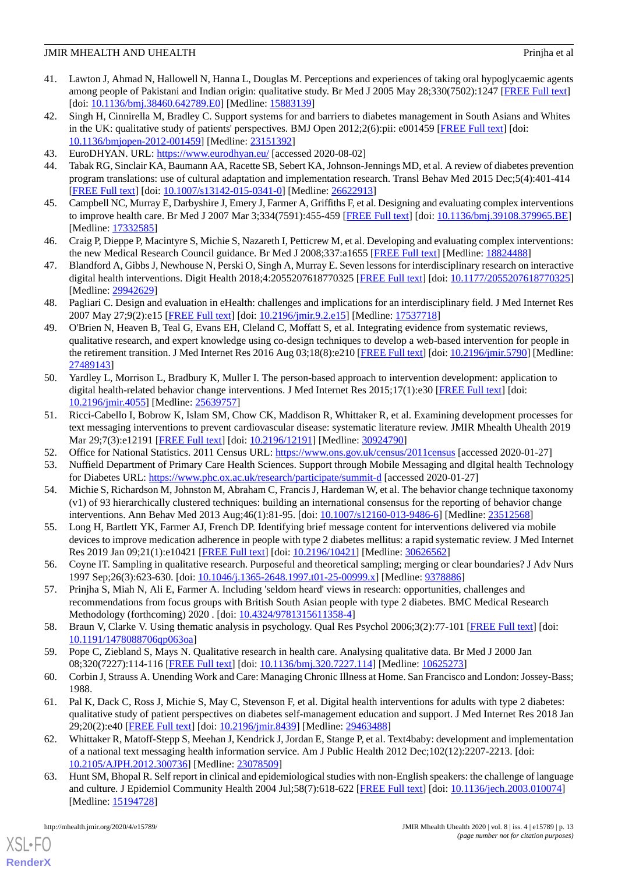- <span id="page-12-0"></span>41. Lawton J, Ahmad N, Hallowell N, Hanna L, Douglas M. Perceptions and experiences of taking oral hypoglycaemic agents among people of Pakistani and Indian origin: qualitative study. Br Med J 2005 May 28;330(7502):1247 [[FREE Full text](http://europepmc.org/abstract/MED/15883139)] [doi: [10.1136/bmj.38460.642789.E0](http://dx.doi.org/10.1136/bmj.38460.642789.E0)] [Medline: [15883139](http://www.ncbi.nlm.nih.gov/entrez/query.fcgi?cmd=Retrieve&db=PubMed&list_uids=15883139&dopt=Abstract)]
- <span id="page-12-1"></span>42. Singh H, Cinnirella M, Bradley C. Support systems for and barriers to diabetes management in South Asians and Whites in the UK: qualitative study of patients' perspectives. BMJ Open 2012;2(6):pii: e001459 [\[FREE Full text\]](http://bmjopen.bmj.com/cgi/pmidlookup?view=long&pmid=23151392) [doi: [10.1136/bmjopen-2012-001459\]](http://dx.doi.org/10.1136/bmjopen-2012-001459) [Medline: [23151392](http://www.ncbi.nlm.nih.gov/entrez/query.fcgi?cmd=Retrieve&db=PubMed&list_uids=23151392&dopt=Abstract)]
- <span id="page-12-3"></span><span id="page-12-2"></span>43. EuroDHYAN. URL:<https://www.eurodhyan.eu/> [accessed 2020-08-02]
- <span id="page-12-4"></span>44. Tabak RG, Sinclair KA, Baumann AA, Racette SB, Sebert KA, Johnson-Jennings MD, et al. A review of diabetes prevention program translations: use of cultural adaptation and implementation research. Transl Behav Med 2015 Dec;5(4):401-414 [[FREE Full text](http://europepmc.org/abstract/MED/26622913)] [doi: [10.1007/s13142-015-0341-0\]](http://dx.doi.org/10.1007/s13142-015-0341-0) [Medline: [26622913](http://www.ncbi.nlm.nih.gov/entrez/query.fcgi?cmd=Retrieve&db=PubMed&list_uids=26622913&dopt=Abstract)]
- 45. Campbell NC, Murray E, Darbyshire J, Emery J, Farmer A, Griffiths F, et al. Designing and evaluating complex interventions to improve health care. Br Med J 2007 Mar 3;334(7591):455-459 [[FREE Full text](http://europepmc.org/abstract/MED/17332585)] [doi: [10.1136/bmj.39108.379965.BE](http://dx.doi.org/10.1136/bmj.39108.379965.BE)] [Medline: [17332585](http://www.ncbi.nlm.nih.gov/entrez/query.fcgi?cmd=Retrieve&db=PubMed&list_uids=17332585&dopt=Abstract)]
- <span id="page-12-5"></span>46. Craig P, Dieppe P, Macintyre S, Michie S, Nazareth I, Petticrew M, et al. Developing and evaluating complex interventions: the new Medical Research Council guidance. Br Med J 2008;337:a1655 [\[FREE Full text\]](http://europepmc.org/abstract/MED/18824488) [Medline: [18824488\]](http://www.ncbi.nlm.nih.gov/entrez/query.fcgi?cmd=Retrieve&db=PubMed&list_uids=18824488&dopt=Abstract)
- <span id="page-12-6"></span>47. Blandford A, Gibbs J, Newhouse N, Perski O, Singh A, Murray E. Seven lessons for interdisciplinary research on interactive digital health interventions. Digit Health 2018;4:2055207618770325 [[FREE Full text](http://europepmc.org/abstract/MED/29942629)] [doi: [10.1177/2055207618770325](http://dx.doi.org/10.1177/2055207618770325)] [Medline: [29942629](http://www.ncbi.nlm.nih.gov/entrez/query.fcgi?cmd=Retrieve&db=PubMed&list_uids=29942629&dopt=Abstract)]
- 48. Pagliari C. Design and evaluation in eHealth: challenges and implications for an interdisciplinary field. J Med Internet Res 2007 May 27;9(2):e15 [\[FREE Full text\]](https://www.jmir.org/2007/2/e15/) [doi: [10.2196/jmir.9.2.e15](http://dx.doi.org/10.2196/jmir.9.2.e15)] [Medline: [17537718](http://www.ncbi.nlm.nih.gov/entrez/query.fcgi?cmd=Retrieve&db=PubMed&list_uids=17537718&dopt=Abstract)]
- <span id="page-12-7"></span>49. O'Brien N, Heaven B, Teal G, Evans EH, Cleland C, Moffatt S, et al. Integrating evidence from systematic reviews, qualitative research, and expert knowledge using co-design techniques to develop a web-based intervention for people in the retirement transition. J Med Internet Res 2016 Aug 03;18(8):e210 [[FREE Full text](https://www.jmir.org/2016/8/e210/)] [doi: [10.2196/jmir.5790\]](http://dx.doi.org/10.2196/jmir.5790) [Medline: [27489143](http://www.ncbi.nlm.nih.gov/entrez/query.fcgi?cmd=Retrieve&db=PubMed&list_uids=27489143&dopt=Abstract)]
- <span id="page-12-8"></span>50. Yardley L, Morrison L, Bradbury K, Muller I. The person-based approach to intervention development: application to digital health-related behavior change interventions. J Med Internet Res 2015;17(1):e30 [\[FREE Full text\]](http://www.jmir.org/2015/1/e30/) [doi: [10.2196/jmir.4055](http://dx.doi.org/10.2196/jmir.4055)] [Medline: [25639757](http://www.ncbi.nlm.nih.gov/entrez/query.fcgi?cmd=Retrieve&db=PubMed&list_uids=25639757&dopt=Abstract)]
- <span id="page-12-10"></span><span id="page-12-9"></span>51. Ricci-Cabello I, Bobrow K, Islam SM, Chow CK, Maddison R, Whittaker R, et al. Examining development processes for text messaging interventions to prevent cardiovascular disease: systematic literature review. JMIR Mhealth Uhealth 2019 Mar 29;7(3):e12191 [\[FREE Full text\]](https://mhealth.jmir.org/2019/3/e12191/) [doi: [10.2196/12191](http://dx.doi.org/10.2196/12191)] [Medline: [30924790\]](http://www.ncbi.nlm.nih.gov/entrez/query.fcgi?cmd=Retrieve&db=PubMed&list_uids=30924790&dopt=Abstract)
- <span id="page-12-11"></span>52. Office for National Statistics. 2011 Census URL: <https://www.ons.gov.uk/census/2011census> [accessed 2020-01-27]
- <span id="page-12-12"></span>53. Nuffield Department of Primary Care Health Sciences. Support through Mobile Messaging and dIgital health Technology for Diabetes URL:<https://www.phc.ox.ac.uk/research/participate/summit-d> [accessed 2020-01-27]
- <span id="page-12-13"></span>54. Michie S, Richardson M, Johnston M, Abraham C, Francis J, Hardeman W, et al. The behavior change technique taxonomy (v1) of 93 hierarchically clustered techniques: building an international consensus for the reporting of behavior change interventions. Ann Behav Med 2013 Aug;46(1):81-95. [doi: [10.1007/s12160-013-9486-6\]](http://dx.doi.org/10.1007/s12160-013-9486-6) [Medline: [23512568\]](http://www.ncbi.nlm.nih.gov/entrez/query.fcgi?cmd=Retrieve&db=PubMed&list_uids=23512568&dopt=Abstract)
- <span id="page-12-14"></span>55. Long H, Bartlett YK, Farmer AJ, French DP. Identifying brief message content for interventions delivered via mobile devices to improve medication adherence in people with type 2 diabetes mellitus: a rapid systematic review. J Med Internet Res 2019 Jan 09;21(1):e10421 [[FREE Full text](https://www.jmir.org/2019/1/e10421/)] [doi: [10.2196/10421\]](http://dx.doi.org/10.2196/10421) [Medline: [30626562](http://www.ncbi.nlm.nih.gov/entrez/query.fcgi?cmd=Retrieve&db=PubMed&list_uids=30626562&dopt=Abstract)]
- <span id="page-12-15"></span>56. Coyne IT. Sampling in qualitative research. Purposeful and theoretical sampling; merging or clear boundaries? J Adv Nurs 1997 Sep;26(3):623-630. [doi: [10.1046/j.1365-2648.1997.t01-25-00999.x\]](http://dx.doi.org/10.1046/j.1365-2648.1997.t01-25-00999.x) [Medline: [9378886\]](http://www.ncbi.nlm.nih.gov/entrez/query.fcgi?cmd=Retrieve&db=PubMed&list_uids=9378886&dopt=Abstract)
- <span id="page-12-16"></span>57. Prinjha S, Miah N, Ali E, Farmer A. Including 'seldom heard' views in research: opportunities, challenges and recommendations from focus groups with British South Asian people with type 2 diabetes. BMC Medical Research Methodology (forthcoming) 2020 . [doi: [10.4324/9781315611358-4](http://dx.doi.org/10.4324/9781315611358-4)]
- <span id="page-12-18"></span><span id="page-12-17"></span>58. Braun V, Clarke V. Using thematic analysis in psychology. Qual Res Psychol 2006;3(2):77-101 [\[FREE Full text\]](https://doi.org/10.1191/1478088706qp063oa) [doi: [10.1191/1478088706qp063oa](http://dx.doi.org/10.1191/1478088706qp063oa)]
- 59. Pope C, Ziebland S, Mays N. Qualitative research in health care. Analysing qualitative data. Br Med J 2000 Jan 08;320(7227):114-116 [[FREE Full text](http://europepmc.org/abstract/MED/10625273)] [doi: [10.1136/bmj.320.7227.114\]](http://dx.doi.org/10.1136/bmj.320.7227.114) [Medline: [10625273\]](http://www.ncbi.nlm.nih.gov/entrez/query.fcgi?cmd=Retrieve&db=PubMed&list_uids=10625273&dopt=Abstract)
- <span id="page-12-19"></span>60. Corbin J, Strauss A. Unending Work and Care: Managing Chronic Illness at Home. San Francisco and London: Jossey-Bass; 1988.
- <span id="page-12-20"></span>61. Pal K, Dack C, Ross J, Michie S, May C, Stevenson F, et al. Digital health interventions for adults with type 2 diabetes: qualitative study of patient perspectives on diabetes self-management education and support. J Med Internet Res 2018 Jan 29;20(2):e40 [\[FREE Full text](https://www.jmir.org/2018/2/e40/)] [doi: [10.2196/jmir.8439\]](http://dx.doi.org/10.2196/jmir.8439) [Medline: [29463488](http://www.ncbi.nlm.nih.gov/entrez/query.fcgi?cmd=Retrieve&db=PubMed&list_uids=29463488&dopt=Abstract)]
- 62. Whittaker R, Matoff-Stepp S, Meehan J, Kendrick J, Jordan E, Stange P, et al. Text4baby: development and implementation of a national text messaging health information service. Am J Public Health 2012 Dec;102(12):2207-2213. [doi: [10.2105/AJPH.2012.300736\]](http://dx.doi.org/10.2105/AJPH.2012.300736) [Medline: [23078509](http://www.ncbi.nlm.nih.gov/entrez/query.fcgi?cmd=Retrieve&db=PubMed&list_uids=23078509&dopt=Abstract)]
- 63. Hunt SM, Bhopal R. Self report in clinical and epidemiological studies with non-English speakers: the challenge of language and culture. J Epidemiol Community Health 2004 Jul;58(7):618-622 [[FREE Full text](http://jech.bmj.com/cgi/pmidlookup?view=long&pmid=15194728)] [doi: [10.1136/jech.2003.010074](http://dx.doi.org/10.1136/jech.2003.010074)] [Medline: [15194728](http://www.ncbi.nlm.nih.gov/entrez/query.fcgi?cmd=Retrieve&db=PubMed&list_uids=15194728&dopt=Abstract)]